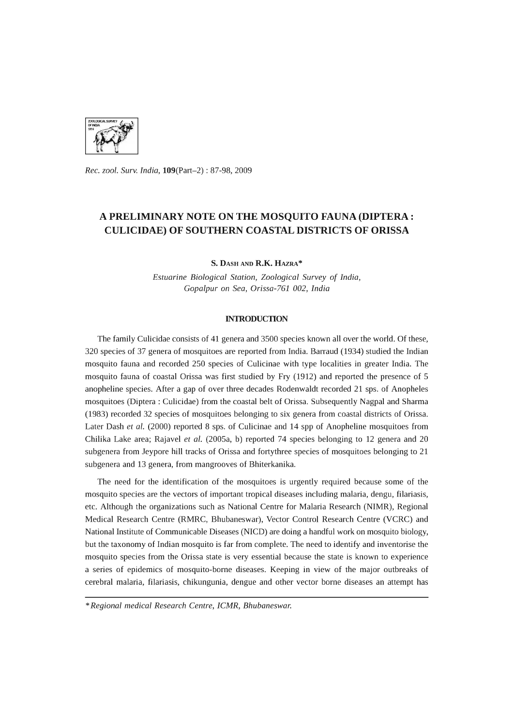

*Rec. zool. Surv. India,* 109(Part-2) : 87-98, 2009

# A PRELIMINARY NOTE ON THE MOSQUITO FAUNA (DIPTERA : CULICIDAE) OF SOUTHERN COASTAL DISTRICTS OF ORISSA

s. DAsH AND R.K. HAZRA\*

*Estuarine Biological Station, Zoological Survey* of *India, Gopalpur on Sea, Orissa-761 002, India* 

#### INTRODUCTION

The family Culicidae consists of 41 genera and 3500 species known all over the world. Of these, 320 species of 37 genera of mosquitoes are reported from India. Barraud (1934) studied the Indian mosquito fauna and recorded 250 species of Culicinae with type localities in greater India. The mosquito fauna of coastal Orissa was first studied by Fry (1912) and reported the presence of 5 anopheline species. After a gap of over three decades Rodenwaldt recorded 21 sps. of Anopheles mosquitoes (Diptera : Culicidae) from the coastal belt of Orissa. Subsequently Nagpal and Sharma (1983) recorded 32 species of mosquitoes belonging to six genera from coastal districts of Orissa. Later Dash *et al.* (2000) reported 8 sps. of Culicinae and 14 spp of Anopheline mosquitoes from Chilika Lake area; Rajavel *et al.* (2005a, b) reported 74 species belonging to 12 genera and 20 subgenera from Jeypore hill tracks of Orissa and fortythree species of mosquitoes belonging to 21 subgenera and 13 genera, from mangrooves of Bhiterkanika.

The need for the identification of the mosquitoes is urgently required because some of the mosquito species are the vectors of important tropical diseases including malaria, dengu, filariasis, etc. Although the organizations such as National Centre for Malaria Research (NIMR), Regional Medical Research Centre (RMRC, Bhubaneswar), Vector Control Research Centre (VCRC) and National Institute of Communicable Diseases (NICD) are doing a handful work on mosquito biology, but the taxonomy of Indian mosquito is far from complete. The need to identify and inventorise the mosquito species from the Orissa state is very essential because the state is known to experience a series of epidemics of mosquito-borne diseases. Keeping in view of the major outbreaks of cerebral malaria, filariasis, chikungunia, dengue and other vector borne diseases an attempt has

<sup>\*</sup> *Regional medical Research Centre, ICMR, Bhubaneswar.*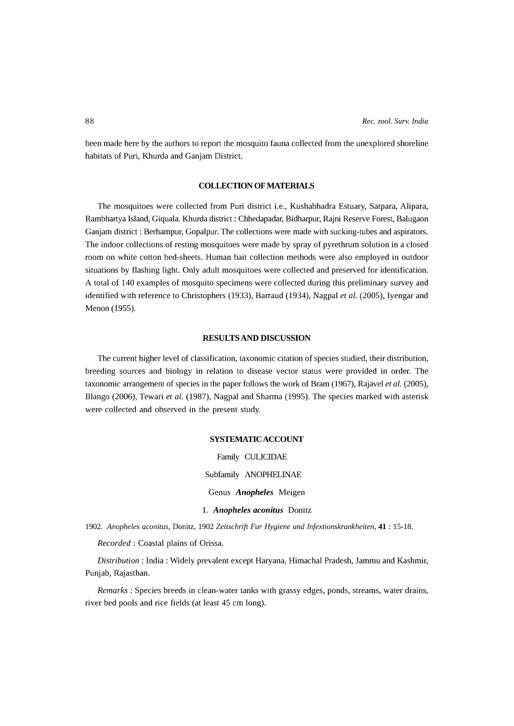been made here by the authors to report the mosquito fauna collected from the unexplored shoreline habitats of Puri, Khurda and Ganjam District.

# **COLLECTION OF MATERIALS**

The mosquitoes were collected from Puri district i.e., Kushabhadra Estuary, Satpara, Alipara, Rambhartya Island, Giquala. Khurda district: Chhedapadar, Bidharpur, Rajni Reserve Forest, Balugaon Ganjam district: Berhampur, Gopalpur. The collections were made with sucking-tubes and aspirators. The indoor collections of resting mosquitoes were made by spray of pyrethrum solution in a closed room on white cotton bed-sheets. Human bait collection methods were also employed in outdoor situations by flashing light. Only adult mosquitoes were collected and preserved for identification. A total of 140 examples of mosquito specimens were collected during this preliminary survey and identified with reference to Christophers (1933), Barraud (1934), Nagpal *et al.* (2005), Iyengar and Menon (1955).

# **RESULTS AND DISCUSSION**

The current higher level of classification, taxonomic citation of species studied, their distribution, breeding sources and biology in relation to disease vector status were provided in order. The taxonomic arrangement of species in the paper follows the work of Bram (1967), Rajavel *et al.* (2005), Illango (2006), Tewari *et al.* (1987), Nagpal and Sharma (1995). The species marked with asterisk were collected and observed in the present study.

### **SYSTEMATIC ACCOUNT**

Family CULICIDAE Subfamily ANOPHELINAE Genus *Anopheles* Meigen 1. *Anopheles aconitus* Donitz

*1902. Anopheles aconitus,* Donitz, 1902 *Zeitschrift Fur Hygiene und Infextionskrankheiten,* **41** : 15-18.

*Recorded:* Coastal plains of Orissa.

*Distribution:* India: Widely prevalent except Haryana, Himachal Pradesh, Jammu and Kashmir, Punjab, Rajasthan.

*Remarks:* Species breeds in clean-water tanks with grassy edges, ponds, streams, water drains, river bed pools and rice fields (at least 45 cm long).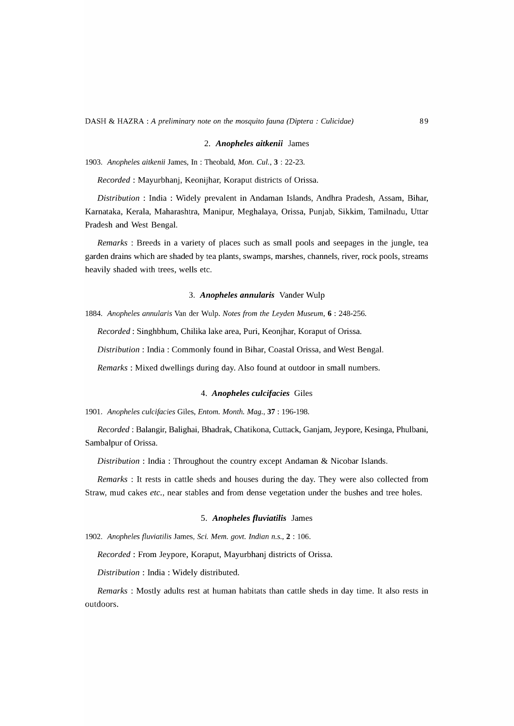#### 2. *Anopheles aitkenii* James

*1903. Anopheles aitkenii* James, In : Theobald, *Mon. CuI.,* 3 : 22-23.

*Recorded:* Mayurbhanj, Keonijhar, Koraput districts of Orissa.

*Distribution:* India: Widely prevalent in Andaman Islands, Andhra Pradesh, Assam, Bihar, Karnataka, Kerala, Maharashtra, Manipur, Meghalaya, Orissa, Punjab, Sikkim, Tamilnadu, Uttar Pradesh and West Bengal.

*Remarks* : Breeds in a variety of places such as small pools and seepages in the jungle, tea garden drains which are shaded by tea plants, swamps, marshes, channels, river, rock pools, streams heavily shaded with trees, wells etc.

## *3. Anopheles annularis* Vander Wulp

*1884. Anopheles annularis* Van der Wulp. *Notes from the Leyden Museum,* 6 : 248-256.

*Recorded:* Singhbhum, Chilika lake area, Puri, Keonjhar, Koraput of Orissa.

*Distribution:* India: Commonly found in Bihar, Coastal Orissa, and West Bengal.

*Remarks:* Mixed dwellings during day. Also found at outdoor in small numbers.

### *4. Anopheles culcifacies* Giles

*1901. Anopheles culcifacies* Giles, *Entom. Month. Mag.,* 37 : 196-198.

*Recorded:* Balangir, Balighai, Bhadrak, Chatikona, Cuttack, Ganjam, Jeypore, Kesinga, Phulbani, Sambalpur of Orissa.

*Distribution* : India: Throughout the country except Andaman & Nicobar Islands.

*Remarks* : It rests in cattle sheds and houses during the day. They were also collected from Straw, mud cakes *etc.,* near stables and from dense vegetation under the bushes and tree holes.

### *5. Anopheles fluviatilis* James

*1902. Anopheles fluviatilis* James, Sci. *Mem. govt. Indian n.s.,* 2 : 106.

*Recorded:* From Jeypore, Koraput, Mayurbhanj districts of Orissa.

*Distribution:* India: Widely distributed.

*Remarks* : Mostly adults rest at human habitats than cattle sheds in day time. It also rests in outdoors.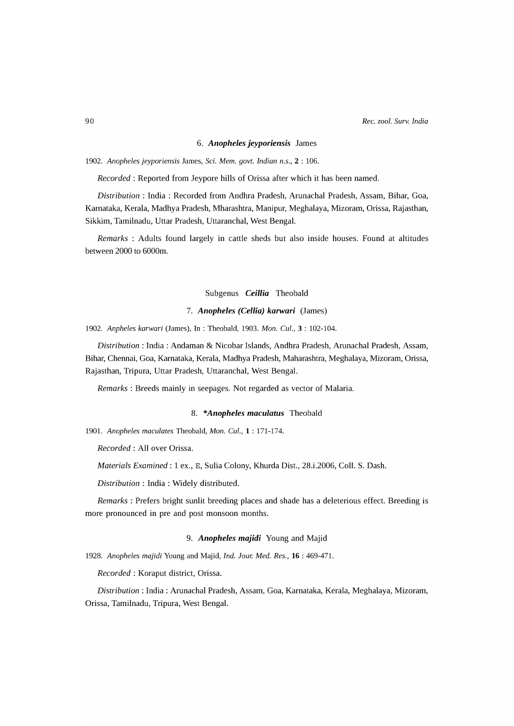### 6. *Anopheles jeyporiensis* James

*1902. Anopheles jeyporiensis* James, Sci. *Mem. govt. Indian n.s.,* 2 : 106.

*Recorded:* Reported from Jeypore hills of Orissa after which it has been named.

*Distribution* : India : Recorded from Andhra Pradesh, Arunachal Pradesh, Assam, Bihar, Goa, Karnataka, Kerala, Madhya Pradesh, Mharashtra, Manipur, Meghalaya, Mizoram, Orissa, Rajasthan, Sikkim, Tamilnadu, Uttar Pradesh, Uttaranchal, West Bengal.

*Remarks* : Adults found largely in cattle sheds but also inside houses. Found at altitudes between 2000 to 6000m.

# Subgenus *Ceillia* Theobald

### *7. Anopheles (Cellia) karwari* (James)

*1902. Anpheles karwari* (James), In : Theobald, 1903. *Mon. CuI.,* 3 : 102-104.

*Distribution:* India: Andaman & Nicobar Islands, Andhra Pradesh, Arunachal Pradesh, Assam, Bihar, Chennai, Goa, Karnataka, Kerala, Madhya Pradesh, Maharashtra, Meghalaya, Mizoram, Orissa, Rajasthan, Tripura, Uttar Pradesh, Uttaranchal, West Bengal.

*Remarks:* Breeds mainly in seepages. Not regarded as vector of Malaria.

### 8. *\*Anopheles maculatus* Theobald

*1901. Anopheles maculates* Theobald, *Mon. CuI.,* 1 : 171-174.

*Recorded:* All over Orissa.

*Materials Examined:* 1 ex., E, Sulia Colony, Khurda Dist., 28.i.2006, ColI. S. Dash.

*Distribution:* India: Widely distributed.

*Remarks* : Prefers bright sunlit breeding places and shade has a deleterious effect. Breeding is more pronounced in pre and post monsoon months.

### 9. *Anopheles majidi* Young and Majid

*1928. Anopheles majidi* Young and Majid, *Ind. Jour. Med. Res.,* **16** : 469-471.

*Recorded:* Koraput district, Orissa.

*Distribution:* India: Arunachal Pradesh, Assam, Goa, Karnataka, Kerala, Meghalaya, Mizoram, Orissa, Tamilnadu, Tripura, West Bengal.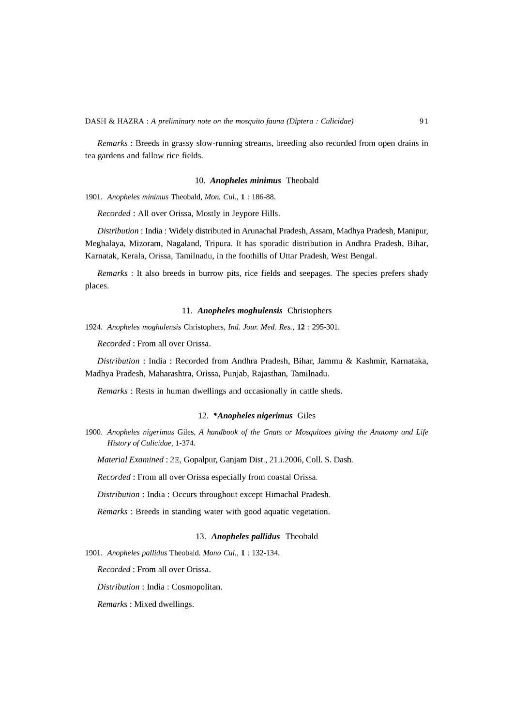*Remarks* : Breeds in grassy slow-running streams, breeding also recorded from open drains in tea gardens and fallow rice fields.

### *10. Anopheles minimus* Theobald

*1901. Anopheles minimus* Theobald, *Mon. CuI.,* 1 : 186-88.

*Recorded:* All over Orissa, Mostly in Jeypore Hills.

*Distribution:* India: Widely distributed in Arunachal Pradesh, Assam, Madhya Pradesh, Manipur, Meghalaya, Mizoram, Nagaland, Tripura. It has sporadic distribution in Andhra Pradesh, Bihar, Karnatak, Kerala, Orissa, Tamilnadu, in the foothills of Uttar Pradesh, West Bengal.

*Remarks* : It also breeds in burrow pits, rice fields and seepages. The species prefers shady places.

### **11.** *Anopheles moghulensis* Christophers

*1924. Anopheles moghulensis* Christophers, *Ind. Jour. Med. Res.,* **12** : 295-301.

*Recorded:* From all over Orissa.

*Distribution:* India: Recorded from Andhra Pradesh, Bihar, Jammu & Kashmir, Karnataka, Madhya Pradesh, Maharashtra, Orissa, Punjab, Rajasthan, Tamilnadu.

*Remarks:* Rests in human dwellings and occasionally in cattle sheds.

# *12. \*Anopheles nigerimus* Giles

*1900. Anopheles nigerimus* Giles, *A handbook of the Gnats or Mosquitoes giving the Anatomy and Life History of Culicidae, 1-374.* 

*Material Examined:* 2E, Gopalpur, Ganjam Dist., 21.i.2006, ColI. S. Dash.

*Recorded:* From all over Orissa especially from coastal Orissa.

*Distribution* : India: Occurs throughout except Himachal Pradesh.

*Remarks* : Breeds in standing water with good aquatic vegetation.

# *13. Anopheles pallidus* Theobald

*1901. Anopheles pallidus* Theobald. *Mono CuI.,* 1 : 132-134.

*Recorded:* From all over Orissa.

*Distribution* : India: Cosmopolitan.

*Remarks:* Mixed dwellings.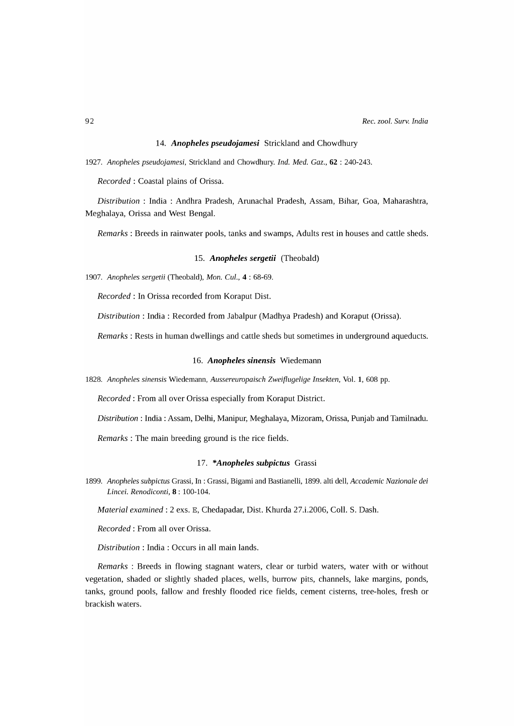#### *14. Anopheles pseudojamesi* Strickland and Chowdhury

*1927. Anopheles pseudojamesi,* Strickland and Chowdhury. *Ind. Med. Gaz.,* 62 : 240-243.

*Recorded:* Coastal plains of Orissa.

*Distribution* : India : Andhra Pradesh, Arunachal Pradesh, Assam, Bihar, Goa, Maharashtra, Meghalaya, Orissa and West Bengal.

*Remarks:* Breeds in rainwater pools, tanks and swamps, Adults rest in houses and cattle sheds.

# *15. Anopheles sergetii* (Theobald)

*1907. Anopheles sergetii* (Theobald), *Mon. CuI.,* 4 : 68-69.

*Recorded:* In Orissa recorded from Koraput Dist.

*Distribution:* India: Recorded from Jabalpur (Madhya Pradesh) and Koraput (Orissa).

*Remarks:* Rests in human dwellings and cattle sheds but sometimes in underground aqueducts.

### *16. Anopheles sinensis* Wiedemann

*1828. Anopheles sinensis* Wiedemann, *Aussereuropaisch Zwei{lugelige Insekten,* Vol. 1, 608 pp.

*Recorded:* From all over Orissa especially from Koraput District.

*Distribution:* India: Assam, Delhi, Manipur, Meghalaya, Mizoram, Orissa, Punjab and Tamilnadu.

*Remarks:* The main breeding ground is the rice fields.

# *17. \*Anopheles subpictus* Grassi

*1899. Anopheles subpictus* Grassi, In : Grassi, Bigami and Bastianelli, 1899. alti dell, *Accademic Nazionale dei Lincei. Renodiconti,* 8 : 100-104.

*Material examined:* 2 exs. E, Chedapadar, Dist. Khurda 27.i.2006, ColI. S. Dash.

*Recorded:* From all over Orissa.

*Distribution:* India: Occurs in all main lands.

*Remarks* : Breeds in flowing stagnant waters, clear or turbid waters, water with or without vegetation, shaded or slightly shaded places, wells, burrow pits, channels, lake margins, ponds, tanks, ground pools, fallow and freshly flooded rice fields, cement cisterns, tree-holes, fresh or brackish waters.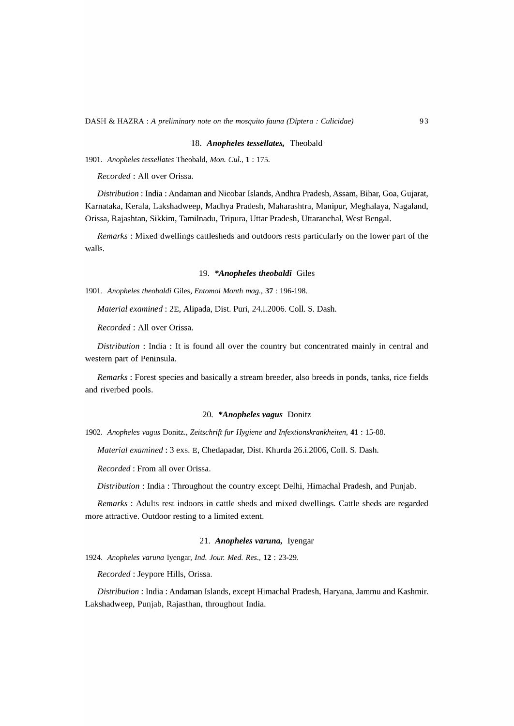#### *18. Anopheles tessellates,* Theobald

*1901. Anopheles tessellates* Theobald, *Mon. CuI.,* 1 : 175.

*Recorded:* All over Orissa.

*Distribution:* India: Andaman and Nicobar Islands, Andhra Pradesh, Assam, Bihar, Goa, Gujarat, Karnataka, Kerala, Lakshadweep, Madhya Pradesh, Maharashtra, Manipur, Meghalaya, Nagaland, Orissa, Rajashtan, Sikkim, Tamilnadu, Tripura, Uttar Pradesh, Uttaranchal, West Bengal.

*Remarks* : Mixed dwellings cattlesheds and outdoors rests particularly on the lower part of the walls.

#### *19. \*Anopheles theobaldi* Giles

*1901. Anopheles theobaldi* Giles, *Entomol Month mag.,* 37 : 196-198.

*Material examined:* 2E, Alipada, Dist. Puri, 24.i.2006. ColI. S. Dash.

*Recorded:* All over Orissa.

*Distribution* : India : It is found all over the country but concentrated mainly in central and western part of Peninsula.

*Remarks:* Forest species and basically a stream breeder, also breeds in ponds, tanks, rice fields and riverbed pools.

# *20. \*Anopheles vagus* Donitz

*1902. Anopheles vagus* Donitz., *Zeitschrift fur Hygiene and Infextionskrankheiten,* 41 : 15-88.

*Material examined:* 3 exs. E, Chedapadar, Dist. Khurda 26.i.2006, ColI. S. Dash.

*Recorded:* From all over Orissa.

*Distribution:* India: Throughout the country except Delhi, Himachal Pradesh, and Punjab.

*Remarks* : Adults rest indoors in cattle sheds and mixed dwellings. Cattle sheds are regarded more attractive. Outdoor resting to a limited extent.

### *21. Anopheles varuna,* Iyengar

*1924. Anopheles varuna* Iyengar, *Ind. Jour. Med. Res.,* 12 : 23-29.

*Recorded:* Jeypore Hills, Orissa.

*Distribution:* India: Andaman Islands, except Himachal Pradesh, Haryana, Jammu and Kashmir. Lakshadweep, Punjab, Rajasthan, throughout India.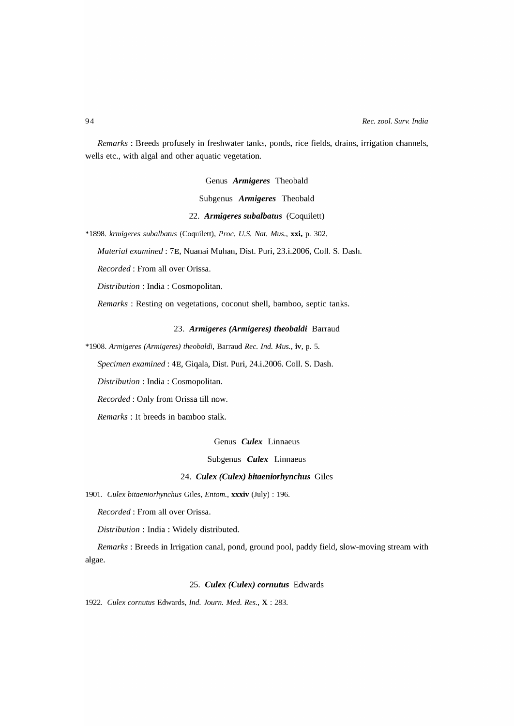*Remarks:* Breeds profusely in freshwater tanks, ponds, rice fields, drains, irrigation channels, wells etc., with algal and other aquatic vegetation.

Genus *Armigeres* Theobald

Subgenus *Armigeres* Theobald

### *22. Armigeres subalbatus* (Coquilett)

*\*1898. krmigeres subalbatus* (Coquilett), *Proc. U.S. Nat. Mus.,* xxi, p. 302.

*Material examined:* 7E, Nuanai Muhan, Dist. Puri, 23.i.2006, ColI. S. Dash.

*Recorded:* From all over Orissa.

*Distribution* : India: Cosmopolitan.

*Remarks:* Resting on vegetations, coconut shell, bamboo, septic tanks.

#### *23. Armigeres (Armigeres) theobaldi* Barraud

*\*1908. Armigeres (Armigeres) theobaldi,* Barraud *Rec. Ind. Mus.,* iv, p. 5.

*Specimen examined:* 4E, Giqala, Dist. Puri, 24.i.2006. ColI. S. Dash.

*Distribution* : India: Cosmopolitan.

*Recorded:* Only from Orissa till now.

*Remarks* : It breeds in bamboo stalk.

Genus *Culex* Linnaeus

Subgenus *Culex* Linnaeus

# *24. Culex (Culex) bitaeniorhynchus* Giles

*1901. Culex bitaeniorhynchus* Giles, *Entom.,* xxxiv (July) : 196.

*Recorded:* From all over Orissa.

*Distribution:* India: Widely distributed.

*Remarks:* Breeds in Irrigation canal, pond, ground pool, paddy field, slow-moving stream with algae.

# *25. Culex (Culex) cornutus* Edwards

*1922. Culex cornutus* Edwards, *Ind. Journ. Med. Res.,* X : 283.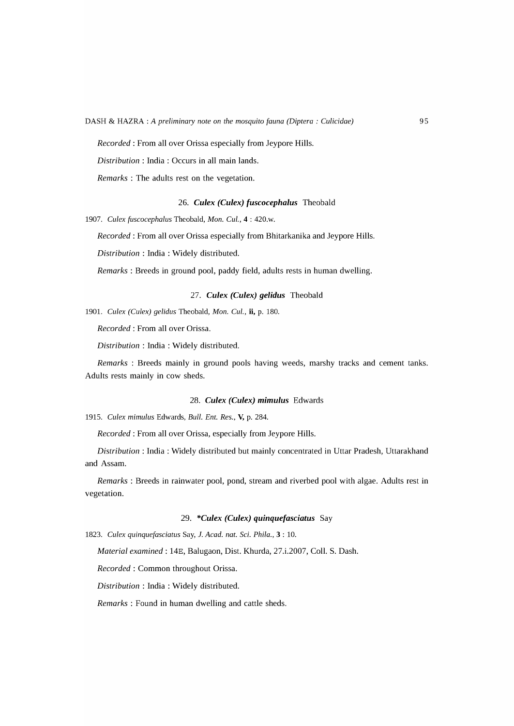*Recorded:* From all over Orissa especially from Jeypore Hills.

*Distribution:* India: Occurs in all main lands.

*Remarks* : The adults rest on the vegetation.

# *26. Culex (Culex) fuscocephalus* Theobald

*1907. Culex fuscocephalus* Theobald, *Mon. CuI.,* 4 : 420.w.

*Recorded:* From all over Orissa especially from Bhitarkanika and Jeypore Hills.

*Distribution:* India: Widely distributed.

*Remarks* : Breeds in ground pool, paddy field, adults rests in human dwelling.

# *27. Culex (Culex) gelidus* Theobald

*1901. Culex (Culex) gelidus* Theobald, *Mon. CuI.,* ii, p. 180.

*Recorded:* From all over Orissa.

*Distribution:* India: Widely distributed.

*Remarks* : Breeds mainly in ground pools having weeds, marshy tracks and cement tanks. Adults rests mainly in cow sheds.

### *28. Culex (Culex) mimulus* Edwards

*1915. Culex mimulus* Edwards, *Bull. Ent. Res.,* V, p. 284.

*Recorded:* From all over Orissa, especially from Jeypore Hills.

*Distribution:* India: Widely distributed but mainly concentrated in Uttar Pradesh, Uttarakhand and Assam.

*Remarks:* Breeds in rainwater pool, pond, stream and riverbed pool with algae. Adults rest in vegetation.

# *29. \*Culex (Culex) quinquefasciatus* Say

*1823. Culex quinquefasciatus* Say, 1. *Acad. nat.* Sci. *Phila.,* 3 : 10.

*Material examined:* 14E, Balugaon, Dist. Khurda, 27.i.2007, ColI. S. Dash.

*Recorded:* Common throughout Orissa.

*Distribution:* India: Widely distributed.

*Remarks:* Found in human dwelling and cattle sheds.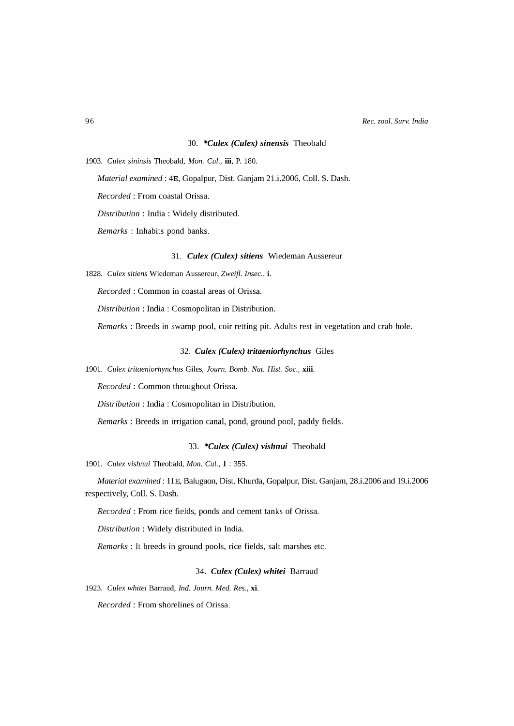#### *30. \*Culex (Culex) sinensis* Theobald

*1903. Culex sininsis* Theobald, *Mon. CuI.,* iii, P. 180.

*Material examined:* 4E, Gopalpur, Dist. Ganjam 21.i.2006, ColI. S. Dash.

*Recorded:* From coastal Orissa.

*Distribution:* India: Widely distributed.

*Remarks* : Inhabits pond banks.

# 31. *Culex (Culex) sitiens* Wiedeman Aussereur

*1828. Culex sitiens* Wiedeman Aussereur, *Zwei{l. Insec.,* i.

*Recorded:* Common in coastal areas of Orissa.

*Distribution* : India: Cosmopolitan in Distribution.

*Remarks:* Breeds in swamp pool, coir retting pit. Adults rest in vegetation and crab hole.

### *32. Culex (Culex) tritaeniorhynchus* Giles

*1901. Culex tritaeniorhynchus* Giles, *Journ. Bomb. Nat. Rist. Soc.,* xiii.

*Recorded:* Common throughout Orissa.

*Distribution* : India: Cosmopolitan in Distribution.

*Remarks:* Breeds in irrigation canal, pond, ground pool, paddy fields.

# *33. \*Culex (Culex) vishnui* Theobald

*1901. Culex vishnui* Theobald, *Mon. CuI.,* 1 : 355.

*Material examined:* HE, Balugaon, Dist. Khurda, Gopalpur, Dist. Ganjam, 28.i.2006 and 19.i.2006 respectively, ColI. S. Dash.

*Recorded:* From rice fields, ponds and cement tanks of Orissa.

*Distribution* : Widely distributed in India.

*Remarks:* It breeds in ground pools, rice fields, salt marshes etc.

### *34. Culex (Culex) whitei* Barraud

*1923. Culex whitei* Barraud, *Ind. Journ. Med. Res.,* xi.

*Recorded:* From shorelines of Orissa.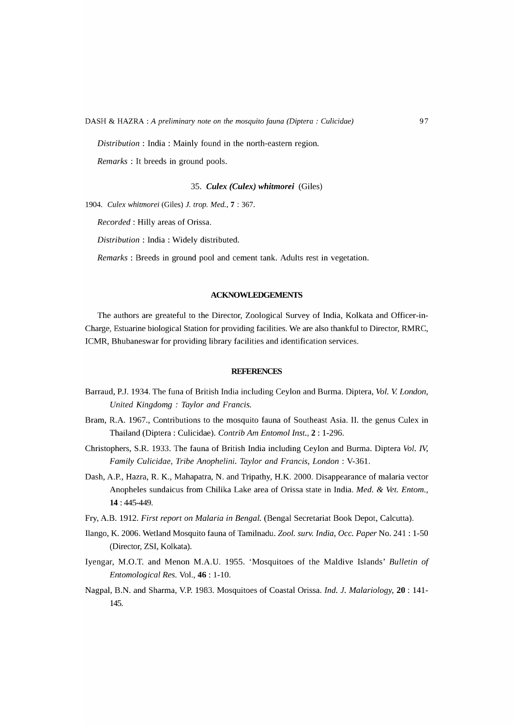*Distribution:* India: Mainly found in the north-eastern region.

*Remarks* : It breeds in ground pools.

### *35. Culex (Culex) whitmorei* (Giles)

*1904. Culex whitmorei* (Giles) 1. *trop. Med.,* 7 : 367.

*Recorded:* Hilly areas of Orissa.

*Distribution:* India: Widely distributed.

*Remarks* : Breeds in ground pool and cement tank. Adults rest in vegetation.

# ACKNOWLEDGEMENTS

The authors are greateful to the Director, Zoological Survey of India, Kolkata and Officer-in-Charge, Estuarine biological Station for providing facilities. We are also thankful to Director, RMRC, ICMR, Bhubaneswar for providing library facilities and identification services.

### **REFERENCES**

- Barraud, *P.l.* 1934. The funa of British India including Ceylon and Burma. Diptera, *Vol.* V. *London, United Kingdomg* : *Taylor and Francis.*
- Bram, R.A. 1967., Contributions to the mosquito fauna of Southeast Asia. II. the genus Culex in Thailand (Diptera : Culicidae). *Contrib Am Entomol Inst.,* 2 : 1-296.
- Christophers, S.R. 1933. The fauna of British India including Ceylon and Burma. Diptera *Vol. IV, Family Culicidae, Tribe Anophelini. Taylor and Francis, London:* V-361.
- Dash, A.P., Hazra, R. K., Mahapatra, N. and Tripathy, H.K. 2000. Disappearance of malaria vector Anopheles sundaicus from Chilika Lake area of Orissa state in India. *Med.* & *Vet. Entom.,*  14 : 445-449.
- Fry, A.B. 1912. *First report on Malaria in Bengal.* (Bengal Secretariat Book Depot, Calcutta).
- Ilango, K. 2006. Wetland Mosquito fauna of Tamilnadu. *Zoo1. surv. India, Gcc. Paper* No. 241 : 1-50 (Director, ZSI, Kolkata).
- Iyengar, M.O.T. and Menon M.A.U. 1955. 'Mosquitoes of the Maldive Islands' *Bulletin* of *Entomological Res.* Vol., 46 : 1-10.
- Nagpal, B.N. and Sharma, V.P. 1983. Mosquitoes of Coastal Orissa. *Ind.* 1. *Malariology,* 20 : 141- 145.